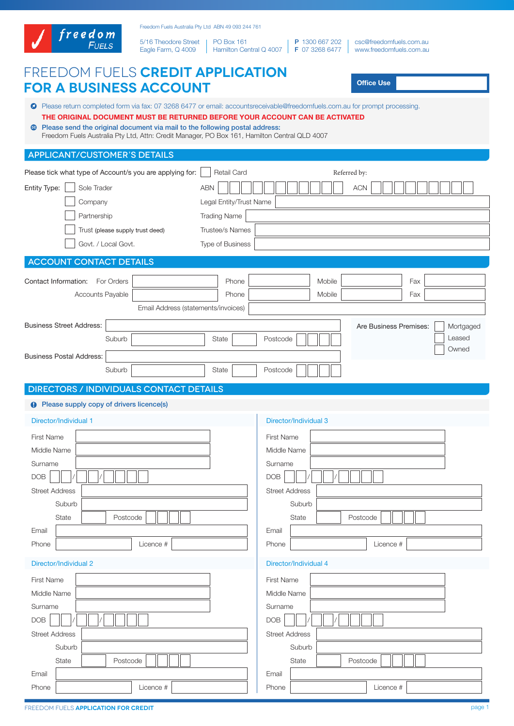

5/16 Theodore Street Eagle Farm, Q 4009 PO Box 161

Hamilton Central Q 4007 P 1300 667 202 F 07 3268 6477

csc@freedomfuels.com.au www.freedomfuels.com.au

# Freedom Fuels **Credit Application**

| <b>FOR A BUSINESS ACCOUNT</b>                                                                                                                                                                                                                                                                                                                                                                       | <b>Office Use</b>                                                                                                       |                                                        |  |  |  |
|-----------------------------------------------------------------------------------------------------------------------------------------------------------------------------------------------------------------------------------------------------------------------------------------------------------------------------------------------------------------------------------------------------|-------------------------------------------------------------------------------------------------------------------------|--------------------------------------------------------|--|--|--|
| ● Please return completed form via fax: 07 3268 6477 or email: accountsreceivable@freedomfuels.com.au for prompt processing.<br>THE ORIGINAL DOCUMENT MUST BE RETURNED BEFORE YOUR ACCOUNT CAN BE ACTIVATED<br><b>• Please send the original document via mail to the following postal address:</b><br>Freedom Fuels Australia Pty Ltd, Attn: Credit Manager, PO Box 161, Hamilton Central QLD 4007 |                                                                                                                         |                                                        |  |  |  |
| <b>APPLICANT/CUSTOMER'S DETAILS</b>                                                                                                                                                                                                                                                                                                                                                                 |                                                                                                                         |                                                        |  |  |  |
| Please tick what type of Account/s you are applying for:<br>Entity Type:<br>Sole Trader                                                                                                                                                                                                                                                                                                             | <b>Retail Card</b><br><b>ABN</b>                                                                                        | Referred by:<br><b>ACN</b>                             |  |  |  |
| Company<br>Partnership<br>Trust (please supply trust deed)                                                                                                                                                                                                                                                                                                                                          | Legal Entity/Trust Name<br><b>Trading Name</b><br><b>Trustee/s Names</b>                                                |                                                        |  |  |  |
| Govt. / Local Govt.                                                                                                                                                                                                                                                                                                                                                                                 | Type of Business                                                                                                        |                                                        |  |  |  |
| <b>ACCOUNT CONTACT DETAILS</b>                                                                                                                                                                                                                                                                                                                                                                      |                                                                                                                         |                                                        |  |  |  |
| For Orders<br>Contact Information:<br>Accounts Payable<br>Email Address (statements/invoices)                                                                                                                                                                                                                                                                                                       | Phone<br>Mobile<br>Phone<br>Mobile                                                                                      | Fax<br>Fax                                             |  |  |  |
| <b>Business Street Address:</b><br>Suburb<br><b>Business Postal Address:</b><br>Suburb                                                                                                                                                                                                                                                                                                              | State<br>Postcode<br>State<br>Postcode                                                                                  | Are Business Premises:<br>Mortgaged<br>Leased<br>Owned |  |  |  |
| <b>DIRECTORS / INDIVIDUALS CONTACT DETAILS</b>                                                                                                                                                                                                                                                                                                                                                      |                                                                                                                         |                                                        |  |  |  |
| <b>9</b> Please supply copy of drivers licence(s)                                                                                                                                                                                                                                                                                                                                                   |                                                                                                                         |                                                        |  |  |  |
| Director/Individual 1                                                                                                                                                                                                                                                                                                                                                                               | Director/Individual 3                                                                                                   |                                                        |  |  |  |
| <b>First Name</b><br>Middle Name<br>Surname<br><b>DOB</b><br><b>Street Address</b><br>Suburb<br>State<br>Postcode<br>Email<br>Licence #<br>Phone                                                                                                                                                                                                                                                    | <b>First Name</b><br>Middle Name<br>Surname<br><b>DOB</b><br><b>Street Address</b><br>Suburb<br>State<br>Email<br>Phone | Postcode<br>Licence #                                  |  |  |  |
| Director/Individual 2                                                                                                                                                                                                                                                                                                                                                                               | Director/Individual 4                                                                                                   |                                                        |  |  |  |
| <b>First Name</b><br>Middle Name<br>Surname<br><b>DOB</b><br><b>Street Address</b>                                                                                                                                                                                                                                                                                                                  | <b>First Name</b><br>Middle Name<br>Surname<br><b>DOB</b><br><b>Street Address</b>                                      |                                                        |  |  |  |
| Suburb                                                                                                                                                                                                                                                                                                                                                                                              | Suburb                                                                                                                  |                                                        |  |  |  |
| State<br>Postcode<br>Email                                                                                                                                                                                                                                                                                                                                                                          | State<br>Email                                                                                                          | Postcode                                               |  |  |  |
| Licence #<br>Phone                                                                                                                                                                                                                                                                                                                                                                                  | Phone                                                                                                                   | Licence #                                              |  |  |  |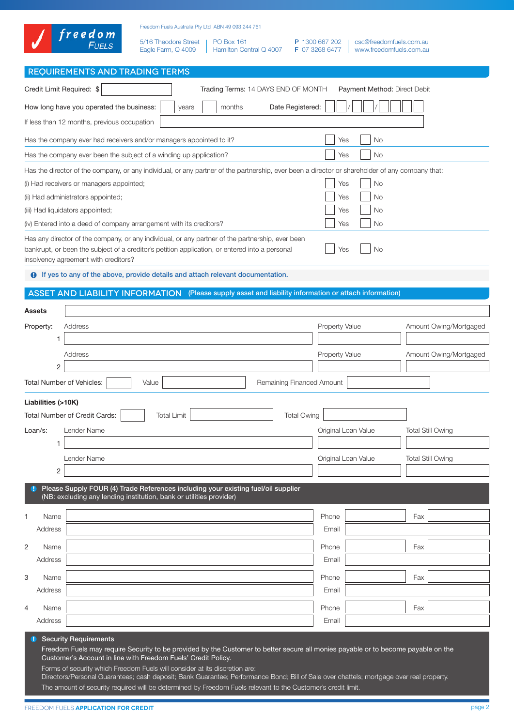|                                  | freedom                                                                                                                                                                                                                                    |                                            | Freedom Fuels Australia Pty Ltd ABN 49 093 244 761 |                   |                                     |                           |                                  |                                                    |                          |                        |
|----------------------------------|--------------------------------------------------------------------------------------------------------------------------------------------------------------------------------------------------------------------------------------------|--------------------------------------------|----------------------------------------------------|-------------------|-------------------------------------|---------------------------|----------------------------------|----------------------------------------------------|--------------------------|------------------------|
|                                  | <b>FUELS</b>                                                                                                                                                                                                                               | 5/16 Theodore Street<br>Eagle Farm, Q 4009 |                                                    | <b>PO Box 161</b> | Hamilton Central Q 4007             |                           | P 1300 667 202<br>F 07 3268 6477 | csc@freedomfuels.com.au<br>www.freedomfuels.com.au |                          |                        |
|                                  | <b>REQUIREMENTS AND TRADING TERMS</b>                                                                                                                                                                                                      |                                            |                                                    |                   |                                     |                           |                                  |                                                    |                          |                        |
| Credit Limit Required: \$        |                                                                                                                                                                                                                                            |                                            |                                                    |                   | Trading Terms: 14 DAYS END OF MONTH |                           |                                  | Payment Method: Direct Debit                       |                          |                        |
|                                  | How long have you operated the business:                                                                                                                                                                                                   |                                            | years                                              | months            |                                     | Date Registered:          |                                  |                                                    |                          |                        |
|                                  | If less than 12 months, previous occupation                                                                                                                                                                                                |                                            |                                                    |                   |                                     |                           |                                  |                                                    |                          |                        |
|                                  |                                                                                                                                                                                                                                            |                                            |                                                    |                   |                                     |                           |                                  |                                                    |                          |                        |
|                                  | Has the company ever had receivers and/or managers appointed to it?                                                                                                                                                                        |                                            |                                                    |                   |                                     |                           | Yes                              | <b>No</b>                                          |                          |                        |
|                                  | Has the company ever been the subject of a winding up application?                                                                                                                                                                         |                                            |                                                    |                   |                                     |                           | Yes                              | No                                                 |                          |                        |
|                                  | Has the director of the company, or any individual, or any partner of the partnership, ever been a director or shareholder of any company that:<br>(i) Had receivers or managers appointed;                                                |                                            |                                                    |                   |                                     |                           | Yes                              | No                                                 |                          |                        |
|                                  | (ii) Had administrators appointed;                                                                                                                                                                                                         |                                            |                                                    |                   |                                     |                           | Yes                              | No                                                 |                          |                        |
|                                  | (iii) Had liquidators appointed;                                                                                                                                                                                                           |                                            |                                                    |                   |                                     |                           | Yes                              | No                                                 |                          |                        |
|                                  | (iv) Entered into a deed of company arrangement with its creditors?                                                                                                                                                                        |                                            |                                                    |                   |                                     |                           | Yes                              | No                                                 |                          |                        |
|                                  | Has any director of the company, or any individual, or any partner of the partnership, ever been<br>bankrupt, or been the subject of a creditor's petition application, or entered into a personal<br>insolvency agreement with creditors? |                                            |                                                    |                   |                                     |                           | Yes                              | No                                                 |                          |                        |
|                                  | <b>O</b> If yes to any of the above, provide details and attach relevant documentation.                                                                                                                                                    |                                            |                                                    |                   |                                     |                           |                                  |                                                    |                          |                        |
|                                  | ASSET AND LIABILITY INFORMATION (Please supply asset and liability information or attach information)                                                                                                                                      |                                            |                                                    |                   |                                     |                           |                                  |                                                    |                          |                        |
| Assets                           |                                                                                                                                                                                                                                            |                                            |                                                    |                   |                                     |                           |                                  |                                                    |                          |                        |
| Property:                        | Address                                                                                                                                                                                                                                    |                                            |                                                    |                   |                                     |                           | Property Value                   |                                                    |                          | Amount Owing/Mortgaged |
|                                  |                                                                                                                                                                                                                                            |                                            |                                                    |                   |                                     |                           |                                  |                                                    |                          |                        |
|                                  | Address                                                                                                                                                                                                                                    |                                            |                                                    |                   |                                     |                           | <b>Property Value</b>            |                                                    |                          | Amount Owing/Mortgaged |
| 2                                |                                                                                                                                                                                                                                            |                                            |                                                    |                   |                                     |                           |                                  |                                                    |                          |                        |
| <b>Total Number of Vehicles:</b> |                                                                                                                                                                                                                                            | Value                                      |                                                    |                   |                                     | Remaining Financed Amount |                                  |                                                    |                          |                        |
| Liabilities (>10K)               |                                                                                                                                                                                                                                            |                                            |                                                    |                   |                                     |                           |                                  |                                                    |                          |                        |
|                                  | <b>Total Number of Credit Cards:</b>                                                                                                                                                                                                       | <b>Total Limit</b>                         |                                                    |                   |                                     | <b>Total Owing</b>        |                                  |                                                    |                          |                        |
| Loan/s:                          | Lender Name                                                                                                                                                                                                                                |                                            |                                                    |                   |                                     |                           | Original Loan Value              |                                                    | <b>Total Still Owing</b> |                        |
| 1                                |                                                                                                                                                                                                                                            |                                            |                                                    |                   |                                     |                           |                                  |                                                    |                          |                        |
|                                  | Lender Name                                                                                                                                                                                                                                |                                            |                                                    |                   |                                     |                           | Original Loan Value              |                                                    | <b>Total Still Owing</b> |                        |
| 2                                |                                                                                                                                                                                                                                            |                                            |                                                    |                   |                                     |                           |                                  |                                                    |                          |                        |
| $\bullet$                        | Please Supply FOUR (4) Trade References including your existing fuel/oil supplier<br>(NB: excluding any lending institution, bank or utilities provider)                                                                                   |                                            |                                                    |                   |                                     |                           |                                  |                                                    |                          |                        |
| 1<br>Name                        |                                                                                                                                                                                                                                            |                                            |                                                    |                   |                                     |                           | Phone                            |                                                    | Fax                      |                        |
| Address                          |                                                                                                                                                                                                                                            |                                            |                                                    |                   |                                     |                           | Email                            |                                                    |                          |                        |
| 2<br>Name                        |                                                                                                                                                                                                                                            |                                            |                                                    |                   |                                     |                           | Phone                            |                                                    | Fax                      |                        |
| Address                          |                                                                                                                                                                                                                                            |                                            |                                                    |                   |                                     |                           | Email                            |                                                    |                          |                        |
| 3<br>Name                        |                                                                                                                                                                                                                                            |                                            |                                                    |                   |                                     |                           | Phone                            |                                                    | Fax                      |                        |
| Address                          |                                                                                                                                                                                                                                            |                                            |                                                    |                   |                                     |                           | Email                            |                                                    |                          |                        |
|                                  |                                                                                                                                                                                                                                            |                                            |                                                    |                   |                                     |                           |                                  |                                                    |                          |                        |
| Name<br>Address                  |                                                                                                                                                                                                                                            |                                            |                                                    |                   |                                     |                           | Phone<br>Email                   |                                                    | Fax                      |                        |
|                                  |                                                                                                                                                                                                                                            |                                            |                                                    |                   |                                     |                           |                                  |                                                    |                          |                        |
|                                  | <b>D</b> Security Requirements<br>Freedom Fuels may require Security to be provided by the Customer to better secure all monies payable or to become payable on the                                                                        |                                            |                                                    |                   |                                     |                           |                                  |                                                    |                          |                        |
|                                  | Customer's Account in line with Freedom Fuels' Credit Policy.                                                                                                                                                                              |                                            |                                                    |                   |                                     |                           |                                  |                                                    |                          |                        |
|                                  | Forms of security which Freedom Fuels will consider at its discretion are:<br>Directors/Personal Guarantees; cash deposit; Bank Guarantee; Performance Bond; Bill of Sale over chattels; mortgage over real property.                      |                                            |                                                    |                   |                                     |                           |                                  |                                                    |                          |                        |
|                                  | The amount of security required will be determined by Freedom Fuels relevant to the Customer's credit limit.                                                                                                                               |                                            |                                                    |                   |                                     |                           |                                  |                                                    |                          |                        |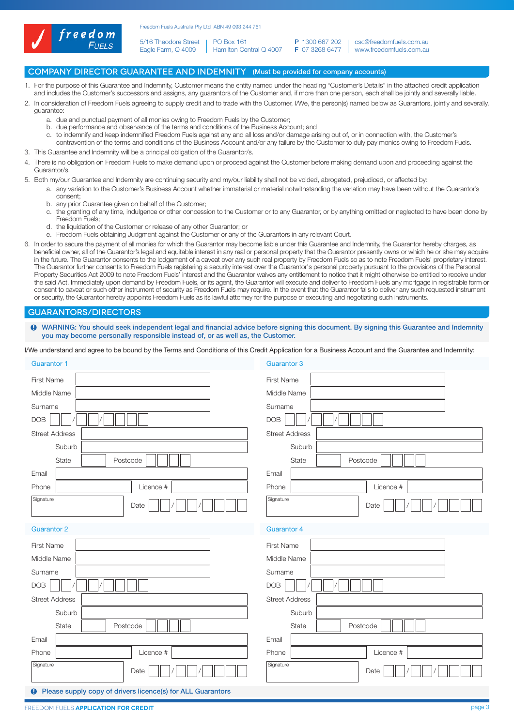

5/16 Theodore Street Eagle Farm, Q 4009 PO Box 161

Hamilton Central Q 4007 | **F** 07 3268 6477 P 1300 667 202

csc@freedomfuels.com.au www.freedomfuels.com.au

# COMPANY DIRECTOR GUARANTEE AND INDEMNITY (Must be provided for company accounts)

- 1. For the purpose of this Guarantee and Indemnity, Customer means the entity named under the heading "Customer's Details" in the attached credit application and includes the Customer's successors and assigns, any guarantors of the Customer and, if more than one person, each shall be jointly and severally liable.
- 2. In consideration of Freedom Fuels agreeing to supply credit and to trade with the Customer, I/We, the person(s) named below as Guarantors, jointly and severally, guarantee:
	- a. due and punctual payment of all monies owing to Freedom Fuels by the Customer;
	- b. due performance and observance of the terms and conditions of the Business Account; and
	- c. to indemnify and keep indemnified Freedom Fuels against any and all loss and/or damage arising out of, or in connection with, the Customer's contravention of the terms and conditions of the Business Account and/or any failure by the Customer to duly pay monies owing to Freedom Fuels.
- 3. This Guarantee and Indemnity will be a principal obligation of the Guarantor/s.
- 4. There is no obligation on Freedom Fuels to make demand upon or proceed against the Customer before making demand upon and proceeding against the Guarantor/s.
- 5. Both my/our Guarantee and Indemnity are continuing security and my/our liability shall not be voided, abrogated, prejudiced, or affected by:
	- a. any variation to the Customer's Business Account whether immaterial or material notwithstanding the variation may have been without the Guarantor's consent;
		- b. any prior Guarantee given on behalf of the Customer;
		- c. the granting of any time, indulgence or other concession to the Customer or to any Guarantor, or by anything omitted or neglected to have been done by Freedom Fuels;
		- d. the liquidation of the Customer or release of any other Guarantor; or
		- e. Freedom Fuels obtaining Judgment against the Customer or any of the Guarantors in any relevant Court.
- 6. In order to secure the payment of all monies for which the Guarantor may become liable under this Guarantee and Indemnity, the Guarantor hereby charges, as beneficial owner, all of the Guarantor's legal and equitable interest in any real or personal property that the Guarantor presently owns or which he or she may acquire in the future. The Guarantor consents to the lodgement of a caveat over any such real property by Freedom Fuels so as to note Freedom Fuels' proprietary interest. The Guarantor further consents to Freedom Fuels registering a security interest over the Guarantor's personal property pursuant to the provisions of the Personal Property Securities Act 2009 to note Freedom Fuels' interest and the Guarantor waives any entitlement to notice that it might otherwise be entitled to receive under the said Act. Immediately upon demand by Freedom Fuels, or its agent, the Guarantor will execute and deliver to Freedom Fuels any mortgage in registrable form or consent to caveat or such other instrument of security as Freedom Fuels may require. In the event that the Guarantor fails to deliver any such requested instrument or security, the Guarantor hereby appoints Freedom Fuels as its lawful attorney for the purpose of executing and negotiating such instruments.

## Guarantors/Directors

WARNING: You should seek independent legal and financial advice before signing this document. By signing this Guarantee and Indemnity you may become personally responsible instead of, or as well as, the Customer.

I/We understand and agree to be bound by the Terms and Conditions of this Credit Application for a Business Account and the Guarantee and Indemnity:

| <b>Guarantor 1</b>                                                   | <b>Guarantor 3</b>    |
|----------------------------------------------------------------------|-----------------------|
| <b>First Name</b>                                                    | <b>First Name</b>     |
| Middle Name                                                          | Middle Name           |
| Surname                                                              | Surname               |
| <b>DOB</b>                                                           | <b>DOB</b>            |
| <b>Street Address</b>                                                | <b>Street Address</b> |
| Suburb                                                               | Suburb                |
| State                                                                | State                 |
| Postcode                                                             | Postcode              |
| Email                                                                | Email                 |
|                                                                      |                       |
| Phone                                                                | Licence #             |
| Licence #                                                            | Phone                 |
| Signature                                                            | Signature             |
| Date                                                                 | Date                  |
| <b>Guarantor 2</b>                                                   | <b>Guarantor 4</b>    |
| First Name                                                           | First Name            |
| Middle Name                                                          | Middle Name           |
| Surname                                                              | Surname               |
| DOB                                                                  | <b>DOB</b>            |
| <b>Street Address</b>                                                | <b>Street Address</b> |
| Suburb                                                               | Suburb                |
| State                                                                | State                 |
| Postcode                                                             | Postcode              |
| Email                                                                | Email                 |
| Phone                                                                | Licence #             |
| Licence #                                                            | Phone                 |
| Signature                                                            | Signature             |
| Date                                                                 | Date                  |
| <b>9</b> Please supply copy of drivers licence(s) for ALL Guarantors |                       |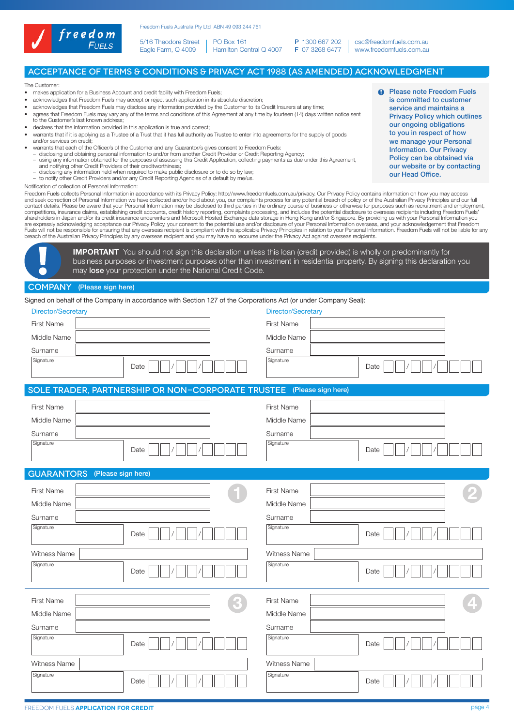

5/16 Theodore Street Eagle Farm, Q 4009 PO Box 161

Hamilton Central Q 4007 P 1300 667 202 F 07 3268 6477

csc@freedomfuels.com.au www.freedomfuels.com.au

# Acceptance of Terms & Conditions & Privacy Act 1988 (As amended) Acknowledgment

The Customer:

- makes application for a Business Account and credit facility with Freedom Fuels;
- acknowledges that Freedom Fuels may accept or reject such application in its absolute discretion;
- acknowledges that Freedom Fuels may disclose any information provided by the Customer to its Credit Insurers at any time;
- agrees that Freedom Fuels may vary any of the terms and conditions of this Agreement at any time by fourteen (14) days written notice sent to the Customer's last known address;
- declares that the information provided in this application is true and correct;
- warrants that if it is applying as a Trustee of a Trust that it has full authority as Trustee to enter into agreements for the supply of goods and/or services on credit;
- 
- or warrants that each of the Officer/s of the Customer and any Guarantor/s gives consent to Freedom Fuels:<br>— disclosing and obtaining personal information to and/or from another Credit Provider or Credit Reporting Agency;<br>
	-
	- and notifying other Credit Providers of their creditworthiness; disclosing any information held when required to make public disclosure or to do so by law;
- to notify other Credit Providers and/or any Credit Reporting Agencies of a default by me/us.
- Notification of collection of Personal Information:

Freedom Fuels collects Personal Information in accordance with its Privacy Policy: http://www.freedomfuels.com.au/privacy. Our Privacy Policy contains information on how you may access and seek correction of Personal Information we have collected and/or hold about you, our complaints process for any potential breach of policy or of the Australian Privacy Principles and our full<br>contact details. Please be competitions, insurance claims, establishing credit accounts, credit history reporting, complaints processing, and includes the potential disclosure to overseas recipients including Freedom Fuels'<br>shareholders in Japan and are expressly acknowledging acceptance our Privacy Policy, your consent to the potential use and/or disclosure of your Personal Information overseas, and your acknowledgement that Freedom<br>Fuels will not be responsible for breach of the Australian Privacy Principles by any overseas recipient and you may have no recourse under the Privacy Act against overseas recipients.

**IMPORTANT** You should not sign this declaration unless this loan (credit provided) is wholly or predominantly for business purposes or investment purposes other than investment in residential property. By signing this declaration you may lose your protection under the National Credit Code.

#### COMPANY (Please sign here)

Signed on behalf of the Company in accordance with Section 127 of the Corporations Act (or under Company Seal):

| Signed on behalf of the Company in accordance with Section TZ7 of the Corporations Act (or under Company Seal). |                    |
|-----------------------------------------------------------------------------------------------------------------|--------------------|
| Director/Secretary                                                                                              | Director/Secretary |
| First Name                                                                                                      | First Name         |
| Middle Name                                                                                                     | Middle Name        |
| Surname                                                                                                         | Surname            |
| Signature<br>Date                                                                                               | Signature<br>Date  |
|                                                                                                                 |                    |
| SOLE TRADER, PARTNERSHIP OR NON-CORPORATE TRUSTEE                                                               | (Please sign here) |
| First Name                                                                                                      | First Name         |
| Middle Name                                                                                                     | Middle Name        |
| Surname                                                                                                         | Surname            |
| Signature                                                                                                       | Signature          |
| Date                                                                                                            | Date               |
| <b>GUARANTORS</b><br>(Please sign here)                                                                         |                    |
| First Name                                                                                                      | First Name         |
|                                                                                                                 |                    |
| Middle Name                                                                                                     | Middle Name        |
| Surname                                                                                                         | Surname            |
| Signature<br>Date                                                                                               | Signature<br>Date  |
| Witness Name                                                                                                    | Witness Name       |
| Signature                                                                                                       | Signature          |
| Date                                                                                                            | Date               |
|                                                                                                                 |                    |
| First Name                                                                                                      | First Name         |
| Middle Name                                                                                                     | Middle Name        |
| Surname                                                                                                         | Surname            |
| Signature<br>Date                                                                                               | Signature<br>Date  |
| Witness Name                                                                                                    | Witness Name       |
| Signature<br>Date                                                                                               | Signature<br>Date  |
|                                                                                                                 |                    |

**Q** Please note Freedom Fuels is committed to customer service and maintains a Privacy Policy which outlines our ongoing obligations to you in respect of how we manage your Personal Information. Our Privacy Policy can be obtained via our website or by contacting our Head Office.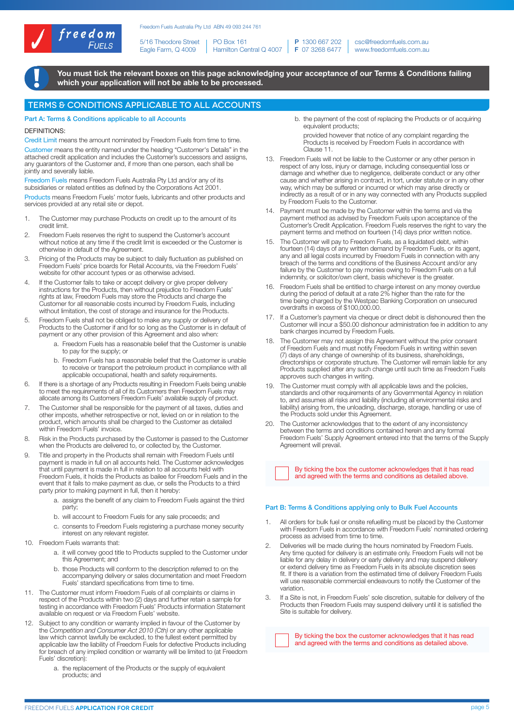

5/16 Theodore Street Eagle Farm, Q 4009 PO Box 161

Hamilton Central Q 4007 P 1300 667 202 F 07 3268 6477

csc@freedomfuels.com.au www.freedomfuels.com.au

You must tick the relevant boxes on this page acknowledging your acceptance of our Terms & Conditions failing which your application will not be able to be processed.

## Terms & Conditions applicable to ALL accounts

Part A: Terms & Conditions applicable to all Accounts

#### **DEFINITIONS:**

Credit Limit means the amount nominated by Freedom Fuels from time to time. Customer means the entity named under the heading "Customer's Details" in the attached credit application and includes the Customer's successors and assigns, any guarantors of the Customer and, if more than one person, each shall be jointly and severally liable.

Freedom Fuels means Freedom Fuels Australia Pty Ltd and/or any of its subsidiaries or related entities as defined by the Corporations Act 2001. Products means Freedom Fuels' motor fuels, lubricants and other products and services provided at any retail site or depot.

- 1. The Customer may purchase Products on credit up to the amount of its credit limit.
- 2. Freedom Fuels reserves the right to suspend the Customer's account without notice at any time if the credit limit is exceeded or the Customer is otherwise in default of the Agreement.
- 3. Pricing of the Products may be subject to daily fluctuation as published on Freedom Fuels' price boards for Retail Accounts, via the Freedom Fuels' website for other account types or as otherwise advised.
- 4. If the Customer fails to take or accept delivery or give proper delivery instructions for the Products, then without prejudice to Freedom Fuels' rights at law, Freedom Fuels may store the Products and charge the Customer for all reasonable costs incurred by Freedom Fuels, including without limitation, the cost of storage and insurance for the Products.
- 5. Freedom Fuels shall not be obliged to make any supply or delivery of Products to the Customer if and for so long as the Customer is in default of payment or any other provision of this Agreement and also when:
	- a. Freedom Fuels has a reasonable belief that the Customer is unable to pay for the supply; or
	- b. Freedom Fuels has a reasonable belief that the Customer is unable to receive or transport the petroleum product in compliance with all applicable occupational, health and safety requirements.
- 6. If there is a shortage of any Products resulting in Freedom Fuels being unable to meet the requirements of all of its Customers then Freedom Fuels may allocate among its Customers Freedom Fuels' available supply of product.
- 7. The Customer shall be responsible for the payment of all taxes, duties and other imposts, whether retrospective or not, levied on or in relation to the product, which amounts shall be charged to the Customer as detailed within Freedom Fuels' invoice.
- 8. Risk in the Products purchased by the Customer is passed to the Customer when the Products are delivered to, or collected by, the Customer.
- 9. Title and property in the Products shall remain with Freedom Fuels until payment is made in full on all accounts held. The Customer acknowledges that until payment is made in full in relation to all accounts held with Freedom Fuels, it holds the Products as bailee for Freedom Fuels and in the event that it fails to make payment as due, or sells the Products to a third party prior to making payment in full, then it hereby:
	- a. assigns the benefit of any claim to Freedom Fuels against the third party;
	- b. will account to Freedom Fuels for any sale proceeds; and
	- c. consents to Freedom Fuels registering a purchase money security interest on any relevant register.
- 10. Freedom Fuels warrants that:
	- a. it will convey good title to Products supplied to the Customer under this Agreement; and
	- b. those Products will conform to the description referred to on the accompanying delivery or sales documentation and meet Freedom Fuels' standard specifications from time to time.
- 11. The Customer must inform Freedom Fuels of all complaints or claims in respect of the Products within two (2) days and further retain a sample for testing in accordance with Freedom Fuels' Products information Statement available on request or via Freedom Fuels' website.
- 12. Subject to any condition or warranty implied in favour of the Customer by the *Competition and Consumer Act 2010 (Cth)* or any other applicable law which cannot lawfully be excluded, to the fullest extent permitted by applicable law the liability of Freedom Fuels for defective Products including for breach of any implied condition or warranty will be limited to (at Freedom Fuels' discretion):
	- a. the replacement of the Products or the supply of equivalent products; and

b. the payment of the cost of replacing the Products or of acquiring equivalent products;

provided however that notice of any complaint regarding the Products is received by Freedom Fuels in accordance with Clause 11.

- 13. Freedom Fuels will not be liable to the Customer or any other person in respect of any loss, injury or damage, including consequential loss or damage and whether due to negligence, deliberate conduct or any other cause and whether arising in contract, in tort, under statute or in any other way, which may be suffered or incurred or which may arise directly or indirectly as a result of or in any way connected with any Products supplied by Freedom Fuels to the Customer.
- 14. Payment must be made by the Customer within the terms and via the payment method as advised by Freedom Fuels upon acceptance of the Customer's Credit Application. Freedom Fuels reserves the right to vary the payment terms and method on fourteen (14) days prior written notice.
- The Customer will pay to Freedom Fuels, as a liquidated debt, within fourteen (14) days of any written demand by Freedom Fuels, or its agent, any and all legal costs incurred by Freedom Fuels in connection with any breach of the terms and conditions of the Business Account and/or any failure by the Customer to pay monies owing to Freedom Fuels on a full indemnity, or solicitor/own client, basis whichever is the greater.
- Freedom Fuels shall be entitled to charge interest on any money overdue during the period of default at a rate 2% higher than the rate for the time being charged by the Westpac Banking Corporation on unsecured overdrafts in excess of \$100,000.00.
- 17. If a Customer's payment via cheque or direct debit is dishonoured then the Customer will incur a \$50.00 dishonour administration fee in addition to any bank charges incurred by Freedom Fuels.
- The Customer may not assign this Agreement without the prior consent of Freedom Fuels and must notify Freedom Fuels in writing within seven (7) days of any change of ownership of its business, shareholdings, directorships or corporate structure. The Customer will remain liable for any Products supplied after any such change until such time as Freedom Fuels approves such changes in writing.
- 19. The Customer must comply with all applicable laws and the policies, standards and other requirements of any Governmental Agency in relation to, and assumes all risks and liability (including all environmental risks and liability) arising from, the unloading, discharge, storage, handling or use of the Products sold under this Agreement.
- The Customer acknowledges that to the extent of any inconsistency between the terms and conditions contained herein and any formal Freedom Fuels' Supply Agreement entered into that the terms of the Supply Agreement will prevail

 By ticking the box the customer acknowledges that it has read and agreed with the terms and conditions as detailed above.

#### Part B: Terms & Conditions applying only to Bulk Fuel Accounts

- All orders for bulk fuel or onsite refuelling must be placed by the Customer with Freedom Fuels in accordance with Freedom Fuels' nominated ordering process as advised from time to time.
- 2. Deliveries will be made during the hours nominated by Freedom Fuels. Any time quoted for delivery is an estimate only. Freedom Fuels will not be liable for any delay in delivery or early delivery and may suspend delivery or extend delivery time as Freedom Fuels in its absolute discretion sees fit. If there is a variation from the estimated time of delivery Freedom Fuels will use reasonable commercial endeavours to notify the Customer of the variation.
- If a Site is not, in Freedom Fuels' sole discretion, suitable for delivery of the Products then Freedom Fuels may suspend delivery until it is satisfied the Site is suitable for delivery.

 By ticking the box the customer acknowledges that it has read and agreed with the terms and conditions as detailed above.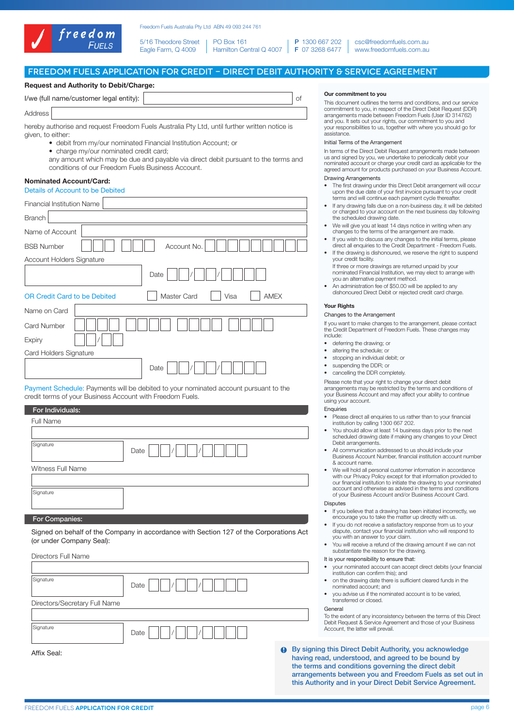

5/16 Theodore Street Eagle Farm, Q 4009 PO Box 161 Hamilton Central Q 4007

P 1300 667 202 F 07 3268 6477 csc@freedomfuels.com.au www.freedomfuels.com.au

# Freedom Fuels Application for Credit - DIRECT DEBIT AUTHORITY & SERVICE AGREEMENT

## Request and Authority to Debit/Charge:

| I/we (full name/customer legal entity): |  |
|-----------------------------------------|--|
| Address                                 |  |

hereby authorise and request Freedom Fuels Australia Pty Ltd, until further written notice is given, to either:

- debit from my/our nominated Financial Institution Account; or
- charge my/our nominated credit card;
- any amount which may be due and payable via direct debit pursuant to the terms and conditions of our Freedom Fuels Business Account.

## Nominated Account/Card:

| Details of Account to be Debited                                          |  |  |  |
|---------------------------------------------------------------------------|--|--|--|
| <b>Financial Institution Name</b>                                         |  |  |  |
| <b>Branch</b>                                                             |  |  |  |
| Name of Account                                                           |  |  |  |
| Account No.<br><b>BSB Number</b>                                          |  |  |  |
| Account Holders Signature                                                 |  |  |  |
| Date                                                                      |  |  |  |
| Master Card<br>Visa<br><b>AMEX</b><br><b>OR Credit Card to be Debited</b> |  |  |  |
| Name on Card                                                              |  |  |  |
| <b>Card Number</b>                                                        |  |  |  |
| Expiry                                                                    |  |  |  |
| Card Holders Signature                                                    |  |  |  |
| Date                                                                      |  |  |  |
|                                                                           |  |  |  |

Payment Schedule: Payments will be debited to your nominated account pursuant to the credit terms of your Business Account with Freedom Fuels.

| For Individuals:  |      |
|-------------------|------|
| Full Name         |      |
|                   |      |
| Signature         | Date |
| Witness Full Name |      |
|                   |      |
| Signature         |      |
|                   |      |
| ____              |      |

#### For Companies:

Signed on behalf of the Company in accordance with Section 127 of the Corporations Act (or under Company Seal):

| Directors Full Name           |      |   |           |
|-------------------------------|------|---|-----------|
|                               |      |   |           |
| Signature                     | Date |   |           |
| Directors/Secretary Full Name |      |   |           |
|                               |      |   |           |
| Signature                     | Date |   |           |
| Affix Seal:                   |      | Œ | v si<br>D |

#### Our commitment to you

This document outlines the terms and conditions, and our service commitment to you, in respect of the Direct Debit Request (DDR) arrangements made between Freedom Fuels (User ID 314762) and you. It sets out your rights, our commitment to you and your responsibilities to us, together with where you should go for assistance.

#### Initial Terms of the Arrangement

In terms of the Direct Debit Request arrangements made between us and signed by you, we undertake to periodically debit your nominated account or charge your credit card as applicable for the agreed amount for products purchased on your Business Account.

## Drawing Arrangements

- The first drawing under this Direct Debit arrangement will occur upon the due date of your first invoice pursuant to your credit terms and will continue each payment cycle thereafter.
- If any drawing falls due on a non-business day, it will be debited or charged to your account on the next business day following the scheduled drawing date.
- We will give you at least 14 days notice in writing when any changes to the terms of the arrangement are made.
- If you wish to discuss any changes to the initial terms, please direct all enquiries to the Credit Department - Freedom Fuels.
- If the drawing is dishonoured, we reserve the right to suspend your credit facility.
- If three or more drawings are returned unpaid by your nominated Financial Institution, we may elect to arrange with you an alternative payment method.
- An administration fee of \$50.00 will be applied to any dishonoured Direct Debit or rejected credit card charge.

#### **Your Rights**

#### Changes to the Arrangement

If you want to make changes to the arrangement, please contact the Credit Department of Freedom Fuels. These changes may include:

- deferring the drawing; or
- altering the schedule; or
- stopping an individual debit; or
- suspending the DDR; or
- cancelling the DDR completely.

Please note that your right to change your direct debit arrangements may be restricted by the terms and conditions of your Business Account and may affect your ability to continue using your account.

# **Enquiries**

- Please direct all enquiries to us rather than to your financial institution by calling 1300 667 202.
- You should allow at least 14 business days prior to the next scheduled drawing date if making any changes to your Direct Debit arrangements.
- All communication addressed to us should include your Business Account Number, financial institution account number & account name.
- We will hold all personal customer information in accordance with our Privacy Policy except for that information provided to our financial institution to initiate the drawing to your nominated account and otherwise as advised in the terms and conditions of your Business Account and/or Business Account Card.

# Disputes

- If you believe that a drawing has been initiated incorrectly, we encourage you to take the matter up directly with us.
- If you do not receive a satisfactory response from us to you dispute, contact your financial institution who will respond to you with an answer to your claim.
- You will receive a refund of the drawing amount if we can not substantiate the reason for the drawing.

## It is your responsibility to ensure that:

- your nominated account can accept direct debits (your financial institution can confirm this); and
- on the drawing date there is sufficient cleared funds in the nominated account; and
- you advise us if the nominated account is to be varied, transferred or closed.

#### General

To the extent of any inconsistency between the terms of this Direct Debit Request & Service Agreement and those of your Business Account, the latter will prevail.

By signing this Direct Debit Authority, you acknowledge having read, understood, and agreed to be bound by the terms and conditions governing the direct debit arrangements between you and Freedom Fuels as set out in this Authority and in your Direct Debit Service Agreement.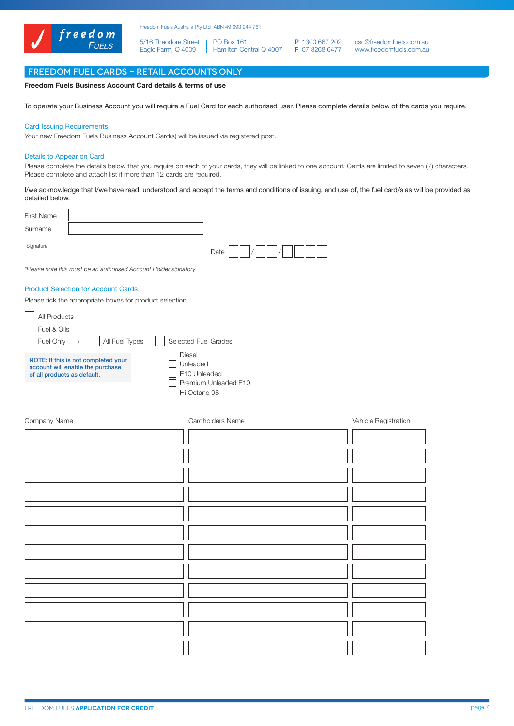

5/16 Theodore Street Eagle Farm, Q 4009 PO Box 161

Hamilton Central Q 4007 | **F** 07 3268 6477 P 1300 667 202

csc@freedomfuels.com.au www.freedomfuels.com.au

# Freedom Fuel CARDS – RETAIL ACCOUNTS ONLY

## Freedom Fuels Business Account Card details & terms of use

To operate your Business Account you will require a Fuel Card for each authorised user. Please complete details below of the cards you require.

# Card Issuing Requirements

Your new Freedom Fuels Business Account Card(s) will be issued via registered post.

#### Details to Appear on Card

Please complete the details below that you require on each of your cards, they will be linked to one account. Cards are limited to seven (7) characters. Please complete and attach list if more than 12 cards are required.

I/we acknowledge that I/we have read, understood and accept the terms and conditions of issuing, and use of, the fuel card/s as will be provided as detailed below.

| <b>First Name</b> |                                                                  |      |  |
|-------------------|------------------------------------------------------------------|------|--|
| Surname           |                                                                  |      |  |
| Signature         |                                                                  | Date |  |
|                   | *Places pato this must be an outhorized Assount Holder signatory |      |  |

*\*Please note this must be an authorised Account Holder signatory*

# Product Selection for Account Cards

Please tick the appropriate boxes for product selection.

| All Products                                                                                           |                                                                            |
|--------------------------------------------------------------------------------------------------------|----------------------------------------------------------------------------|
| Fuel & Oils                                                                                            |                                                                            |
| Fuel Only $\rightarrow$     All Fuel Types                                                             | Selected Fuel Grades                                                       |
| NOTE: If this is not completed your<br>account will enable the purchase<br>of all products as default. | Diesel<br>Unleaded<br>E10 Unleaded<br>Premium Unleaded E10<br>Hi Octane 98 |

| Company Name | Cardholders Name | Vehicle Registration |
|--------------|------------------|----------------------|
|              |                  |                      |
|              |                  |                      |
|              |                  |                      |
|              |                  |                      |
|              |                  |                      |
|              |                  |                      |
|              |                  |                      |
|              |                  |                      |
|              |                  |                      |
|              |                  |                      |
|              |                  |                      |
|              |                  |                      |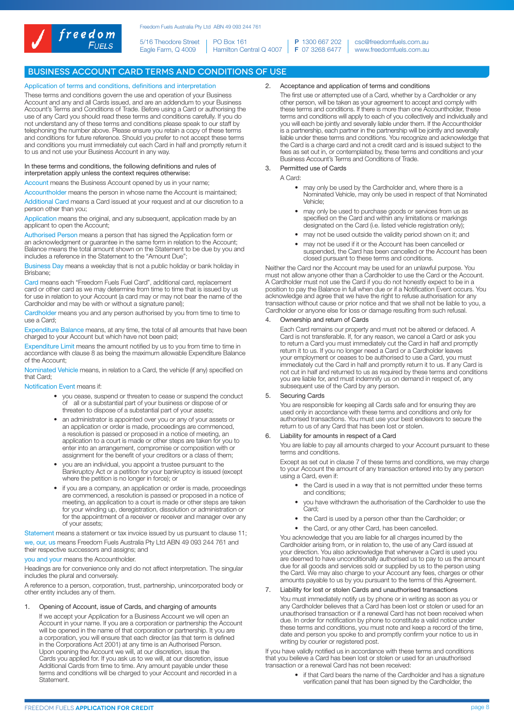

5/16 Theodore Street Eagle Farm, Q 4009 PO Box 161

Hamilton Central Q 4007 P 1300 667 202 F 07 3268 6477

csc@freedomfuels.com.au www.freedomfuels.com.au

# Business Account Card Terms and Conditions of Use

#### Application of terms and conditions, definitions and interpretation

These terms and conditions govern the use and operation of your Business Account and any and all Cards issued, and are an addendum to your Business Account's Terms and Conditions of Trade. Before using a Card or authorising the use of any Card you should read these terms and conditions carefully. If you do not understand any of these terms and conditions please speak to our staff by telephoning the number above. Please ensure you retain a copy of these terms and conditions for future reference. Should you prefer to not accept these terms and conditions you must immediately cut each Card in half and promptly return it to us and not use your Business Account in any way.

#### In these terms and conditions, the following definitions and rules of interpretation apply unless the context requires otherwise:

Account means the Business Account opened by us in your name;

Accountholder means the person in whose name the Account is maintained; Additional Card means a Card issued at your request and at our discretion to a person other than you;

Application means the original, and any subsequent, application made by an applicant to open the Account;

Authorised Person means a person that has signed the Application form or an acknowledgment or guarantee in the same form in relation to the Account; Balance means the total amount shown on the Statement to be due by you and includes a reference in the Statement to the "Amount Due";

Business Day means a weekday that is not a public holiday or bank holiday in Brisbane;

Card means each "Freedom Fuels Fuel Card", additional card, replacement card or other card as we may determine from time to time that is issued by us for use in relation to your Account (a card may or may not bear the name of the Cardholder and may be with or without a signature panel);

Cardholder means you and any person authorised by you from time to time to use a Card;

Expenditure Balance means, at any time, the total of all amounts that have been charged to your Account but which have not been paid;

Expenditure Limit means the amount notified by us to you from time to time in accordance with clause 8 as being the maximum allowable Expenditure Balance of the Account;

Nominated Vehicle means, in relation to a Card, the vehicle (if any) specified on that Card;

#### Notification Event means if:

- you cease, suspend or threaten to cease or suspend the conduct of all or a substantial part of your business or dispose of or threaten to dispose of a substantial part of your assets;
- an administrator is appointed over you or any of your assets or an application or order is made, proceedings are commenced, a resolution is passed or proposed in a notice of meeting, an application to a court is made or other steps are taken for you to enter into an arrangement, compromise or composition with or assignment for the benefit of your creditors or a class of them;
- you are an individual, you appoint a trustee pursuant to the Bankruptcy Act or a petition for your bankruptcy is issued (except where the petition is no longer in force); or
- if you are a company, an application or order is made, proceedings are commenced, a resolution is passed or proposed in a notice of meeting, an application to a court is made or other steps are taken for your winding up, deregistration, dissolution or administration or for the appointment of a receiver or receiver and manager over any of your assets;

Statement means a statement or tax invoice issued by us pursuant to clause 11; we, our, us means Freedom Fuels Australia Pty Ltd ABN 49 093 244 761 and their respective successors and assigns; and

you and your means the Accountholder.

Headings are for convenience only and do not affect interpretation. The singular includes the plural and conversely.

A reference to a person, corporation, trust, partnership, unincorporated body or other entity includes any of them.

#### 1. Opening of Account, issue of Cards, and charging of amounts

If we accept your Application for a Business Account we will open an Account in your name. If you are a corporation or partnership the Account will be opened in the name of that corporation or partnership. It you are a corporation, you will ensure that each director (as that term is defined in the Corporations Act 2001) at any time is an Authorised Person. Upon opening the Account we will, at our discretion, issue the Cards you applied for. If you ask us to we will, at our discretion, issue Additional Cards from time to time. Any amount payable under these terms and conditions will be charged to your Account and recorded in a **Statement** 

2. Acceptance and application of terms and conditions

The first use or attempted use of a Card, whether by a Cardholder or any other person, will be taken as your agreement to accept and comply with these terms and conditions. If there is more than one Accountholder, these terms and conditions will apply to each of you collectively and individually and you will each be jointly and severally liable under them. If the Accountholder is a partnership, each partner in the partnership will be jointly and severally liable under these terms and conditions. You recognize and acknowledge that the Card is a charge card and not a credit card and is issued subject to the fees as set out in, or contemplated by, these terms and conditions and your Business Account's Terms and Conditions of Trade.

# 3. Permitted use of Cards

A Card:

- may only be used by the Cardholder and, where there is a Nominated Vehicle, may only be used in respect of that Nominated Vehicle;
- may only be used to purchase goods or services from us as specified on the Card and within any limitations or markings designated on the Card (i.e. listed vehicle registration only);
- may not be used outside the validity period shown on it; and
- may not be used if it or the Account has been cancelled or suspended, the Card has been cancelled or the Account has been closed pursuant to these terms and conditions.

Neither the Card nor the Account may be used for an unlawful purpose. You must not allow anyone other than a Cardholder to use the Card or the Account. A Cardholder must not use the Card if you do not honestly expect to be in a position to pay the Balance in full when due or if a Notification Event occurs. You acknowledge and agree that we have the right to refuse authorisation for any transaction without cause or prior notice and that we shall not be liable to you, a Cardholder or anyone else for loss or damage resulting from such refusal.

#### Ownership and return of Cards

Each Card remains our property and must not be altered or defaced. A Card is not transferable. If, for any reason, we cancel a Card or ask you to return a Card you must immediately cut the Card in half and promptly return it to us. If you no longer need a Card or a Cardholder leaves your employment or ceases to be authorised to use a Card, you must immediately cut the Card in half and promptly return it to us. If any Card is not cut in half and returned to us as required by these terms and conditions you are liable for, and must indemnify us on demand in respect of, any subsequent use of the Card by any person.

## 5. Securing Cards

You are responsible for keeping all Cards safe and for ensuring they are used only in accordance with these terms and conditions and only for authorised transactions. You must use your best endeavors to secure the return to us of any Card that has been lost or stolen.

#### 6. Liability for amounts in respect of a Card

You are liable to pay all amounts charged to your Account pursuant to these terms and conditions.

Except as set out in clause 7 of these terms and conditions, we may charge to your Account the amount of any transaction entered into by any person using a Card, even if:

- the Card is used in a way that is not permitted under these terms and conditions;
- you have withdrawn the authorisation of the Cardholder to use the Card<sup>.</sup>
- the Card is used by a person other than the Cardholder; or
- the Card, or any other Card, has been cancelled.

You acknowledge that you are liable for all charges incurred by the Cardholder arising from, or in relation to, the use of any Card issued at your direction. You also acknowledge that whenever a Card is used you are deemed to have unconditionally authorised us to pay to us the amount due for all goods and services sold or supplied by us to the person using the Card. We may also charge to your Account any fees, charges or other amounts payable to us by you pursuant to the terms of this Agreement.

### 7. Liability for lost or stolen Cards and unauthorised transactions

You must immediately notify us by phone or in writing as soon as you or any Cardholder believes that a Card has been lost or stolen or used for an unauthorised transaction or if a renewal Card has not been received when due. In order for notification by phone to constitute a valid notice under these terms and conditions, you must note and keep a record of the time, date and person you spoke to and promptly confirm your notice to us in writing by courier or registered post.

If you have validly notified us in accordance with these terms and conditions that you believe a Card has been lost or stolen or used for an unauthorised transaction or a renewal Card has not been received:

if that Card bears the name of the Cardholder and has a signature verification panel that has been signed by the Cardholder, the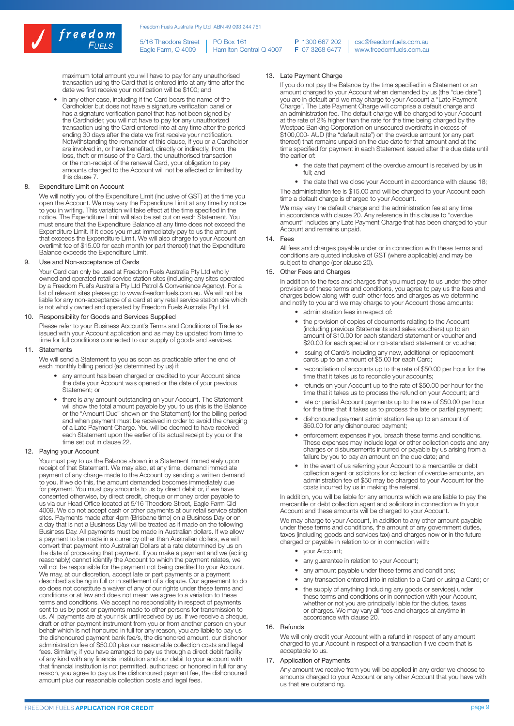

5/16 Theodore Street Eagle Farm, Q 4009 PO Box 161 Hamilton Central Q 4007 P 1300 667 202 F 07 3268 6477

csc@freedomfuels.com.au www.freedomfuels.com.au

maximum total amount you will have to pay for any unauthorised transaction using the Card that is entered into at any time after the date we first receive your notification will be \$100; and

in any other case, including if the Card bears the name of the Cardholder but does not have a signature verification panel or has a signature verification panel that has not been signed by the Cardholder, you will not have to pay for any unauthorized transaction using the Card entered into at any time after the period ending 30 days after the date we first receive your notification. Notwithstanding the remainder of this clause, if you or a Cardholder are involved in, or have benefited, directly or indirectly, from, the loss, theft or misuse of the Card, the unauthorised transaction or the non-receipt of the renewal Card, your obligation to pay amounts charged to the Account will not be affected or limited by this clause 7.

#### 8. Expenditure Limit on Account

We will notify you of the Expenditure Limit (inclusive of GST) at the time you open the Account. We may vary the Expenditure Limit at any time by notice to you in writing. This variation will take effect at the time specified in the notice. The Expenditure Limit will also be set out on each Statement. You must ensure that the Expenditure Balance at any time does not exceed the Expenditure Limit. If it does you must immediately pay to us the amount that exceeds the Expenditure Limit. We will also charge to your Account an overlimit fee of \$15.00 for each month (or part thereof) that the Expenditure Balance exceeds the Expenditure Limit.

#### 9. Use and Non-acceptance of Cards

Your Card can only be used at Freedom Fuels Australia Pty Ltd wholly owned and operated retail service station sites (including any sites operated by a Freedom Fuel's Australia Pty Ltd Petrol & Convenience Agency). For a list of relevant sites please go to www.freedomfuels.com.au. We will not be liable for any non-acceptance of a card at any retail service station site which is not wholly owned and operated by Freedom Fuels Australia Pty Ltd.

#### 10. Responsibility for Goods and Services Supplied

Please refer to your Business Account's Terms and Conditions of Trade as issued with your Account application and as may be updated from time to time for full conditions connected to our supply of goods and services.

#### 11. Statements

We will send a Statement to you as soon as practicable after the end of each monthly billing period (as determined by us) if:

- any amount has been charged or credited to your Account since the date your Account was opened or the date of your previous Statement; or
- there is any amount outstanding on your Account. The Statement will show the total amount payable by you to us (this is the Balance or the "Amount Due" shown on the Statement) for the billing period and when payment must be received in order to avoid the charging of a Late Payment Charge. You will be deemed to have received each Statement upon the earlier of its actual receipt by you or the time set out in clause 22.

#### 12. Paying your Account

You must pay to us the Balance shown in a Statement immediately upon receipt of that Statement. We may also, at any time, demand immediate payment of any charge made to the Account by sending a written demand to you. If we do this, the amount demanded becomes immediately due for payment. You must pay amounts to us by direct debit or, if we have consented otherwise, by direct credit, cheque or money order payable to us via our Head Office located at 5/16 Theodore Street, Eagle Farm Qld 4009. We do not accept cash or other payments at our retail service station sites. Payments made after 4pm (Brisbane time) on a Business Day or on a day that is not a Business Day will be treated as if made on the following Business Day. All payments must be made in Australian dollars. If we allow a payment to be made in a currency other than Australian dollars, we will convert that payment into Australian Dollars at a rate determined by us on the date of processing that payment. If you make a payment and we (acting reasonably) cannot identify the Account to which the payment relates, we will not be responsible for the payment not being credited to your Account. We may, at our discretion, accept late or part payments or a payment described as being in full or in settlement of a dispute. Our agreement to do so does not constitute a waiver of any of our rights under these terms and conditions or at law and does not mean we agree to a variation to these terms and conditions. We accept no responsibility in respect of payments sent to us by post or payments made to other persons for transmission to us. All payments are at your risk until received by us. If we receive a cheque, draft or other payment instrument from you or from another person on your behalf which is not honoured in full for any reason, you are liable to pay us the dishonoured payment bank fee/s, the dishonored amount, our dishonor administration fee of \$50.00 plus our reasonable collection costs and legal fees. Similarly, if you have arranged to pay us through a direct debit facility of any kind with any financial institution and our debit to your account with that financial institution is not permitted, authorized or honored in full for any reason, you agree to pay us the dishonoured payment fee, the dishonoured amount plus our reasonable collection costs and legal fees.

## 13. Late Payment Charge

If you do not pay the Balance by the time specified in a Statement or an amount charged to your Account when demanded by us (the "due date") you are in default and we may charge to your Account a "Late Payment Charge". The Late Payment Charge will comprise a default charge and an administration fee. The default charge will be charged to your Account at the rate of 2% higher than the rate for the time being charged by the Westpac Banking Corporation on unsecured overdrafts in excess of \$100,000- AUD (the "default rate") on the overdue amount (or any part thereof) that remains unpaid on the due date for that amount and at the time specified for payment in each Statement issued after the due date until the earlier of:

• the date that payment of the overdue amount is received by us in full; and

• the date that we close your Account in accordance with clause 18; The administration fee is \$15.00 and will be charged to your Account each time a default charge is charged to your Account.

We may vary the default charge and the administration fee at any time in accordance with clause 20. Any reference in this clause to "overdue amount" includes any Late Payment Charge that has been charged to your Account and remains unpaid.

#### 14. Fees

All fees and charges payable under or in connection with these terms and conditions are quoted inclusive of GST (where applicable) and may be subject to change (per clause 20).

#### 15. Other Fees and Charges

In addition to the fees and charges that you must pay to us under the other provisions of these terms and conditions, you agree to pay us the fees and charges below along with such other fees and charges as we determine and notify to you and we may charge to your Account those amounts:

- administration fees in respect of:
- the provision of copies of documents relating to the Account (including previous Statements and sales vouchers) up to an amount of \$10.00 for each standard statement or voucher and \$20.00 for each special or non-standard statement or voucher;
- issuing of Card/s including any new, additional or replacement cards up to an amount of \$5.00 for each Card;
- reconciliation of accounts up to the rate of \$50.00 per hour for the time that it takes us to reconcile your accounts;
- refunds on your Account up to the rate of \$50.00 per hour for the time that it takes us to process the refund on your Account; and
- late or partial Account payments up to the rate of \$50.00 per hour for the time that it takes us to process the late or partial payment;
- dishonoured payment administration fee up to an amount of \$50.00 for any dishonoured payment;
- enforcement expenses if you breach these terms and conditions. These expenses may include legal or other collection costs and any charges or disbursements incurred or payable by us arising from a failure by you to pay an amount on the due date; and
- In the event of us referring your Account to a mercantile or debt collection agent or solicitors for collection of overdue amounts, an administration fee of \$50 may be charged to your Account for the costs incurred by us in making the referral.

In addition, you will be liable for any amounts which we are liable to pay the mercantile or debt collection agent and solicitors in connection with your Account and these amounts will be charged to your Account.

We may charge to your Account, in addition to any other amount payable under these terms and conditions, the amount of any government duties, taxes (including goods and services tax) and charges now or in the future charged or payable in relation to or in connection with:

- your Account;
- any guarantee in relation to your Account;
- any amount payable under these terms and conditions;
- any transaction entered into in relation to a Card or using a Card; or
- the supply of anything (including any goods or services) under these terms and conditions or in connection with your Account, whether or not you are principally liable for the duties, taxes or charges. We may vary all fees and charges at anytime in accordance with clause 20.

#### 16. Refunds

We will only credit your Account with a refund in respect of any amount charged to your Account in respect of a transaction if we deem that is acceptable to us.

#### 17. Application of Payments

Any amount we receive from you will be applied in any order we choose to amounts charged to your Account or any other Account that you have with us that are outstanding.